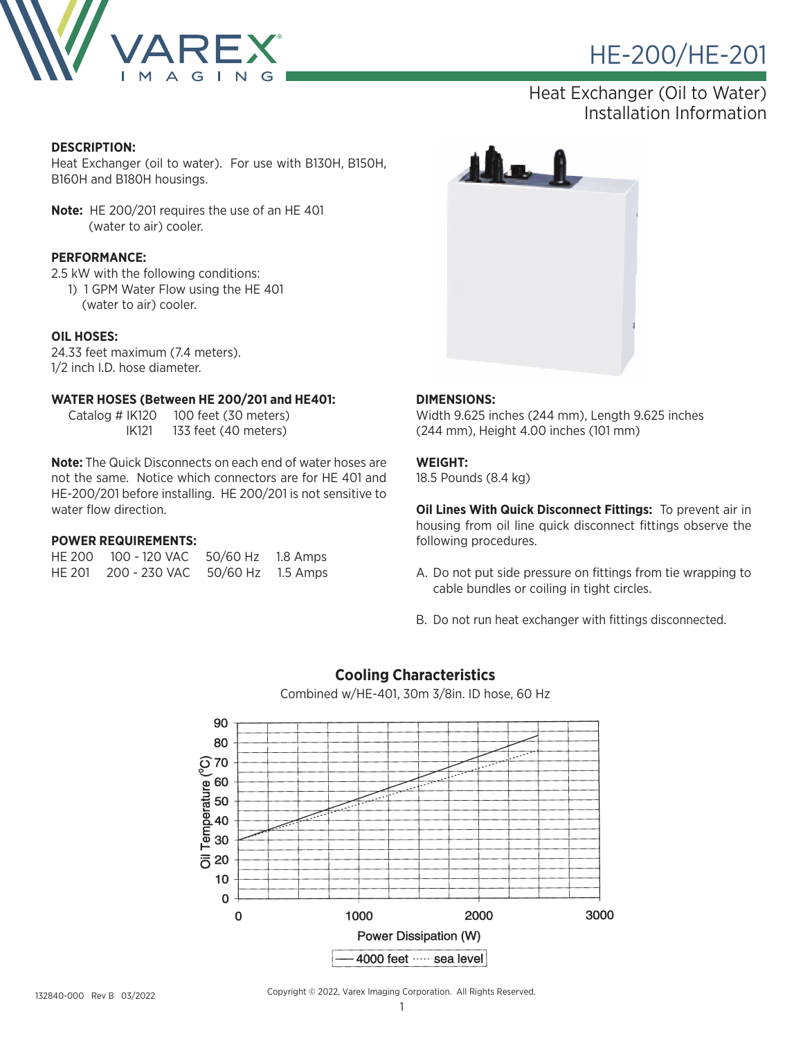

### Heat Exchanger (Oil to Water) Installation Information

#### **DESCRIPTION:**

Heat Exchanger (oil to water). For use with B130H, B150H, B160H and B180H housings.

**Note:** HE 200/201 requires the use of an HE 401 (water to air) cooler.

#### **PERFORMANCE:**

2.5 kW with the following conditions:

 1) 1 GPM Water Flow using the HE 401 (water to air) cooler.

#### **OIL HOSES:**

24.33 feet maximum (7.4 meters). 1/2 inch I.D. hose diameter.

#### **WATER HOSES (Between HE 200/201 and HE401:**

 Catalog # IK120 100 feet (30 meters) IK121 133 feet (40 meters)

**Note:** The Quick Disconnects on each end of water hoses are not the same. Notice which connectors are for HE 401 and HE-200/201 before installing. HE 200/201 is not sensitive to water flow direction.

#### **POWER REQUIREMENTS:**

| HF 200 | 100 - 120 VAC        | 50/60 Hz | 1.8 Amps |
|--------|----------------------|----------|----------|
|        | HE 201 200 - 230 VAC | 50/60 Hz | 1.5 Amps |



#### **DIMENSIONS:**

Width 9.625 inches (244 mm), Length 9.625 inches (244 mm), Height 4.00 inches (101 mm)

#### **WEIGHT:**

18.5 Pounds (8.4 kg)

**Oil Lines With Quick Disconnect Fittings:** To prevent air in housing from oil line quick disconnect fittings observe the following procedures.

- A. Do not put side pressure on fittings from tie wrapping to cable bundles or coiling in tight circles.
- B. Do not run heat exchanger with fittings disconnected.



### **Cooling Characteristics** Combined w/HE-401, 30m 3/8in. ID hose, 60 Hz

132840-000 Rev B 03/2022

Copyright © 2022, Varex Imaging Corporation. All Rights Reserved.